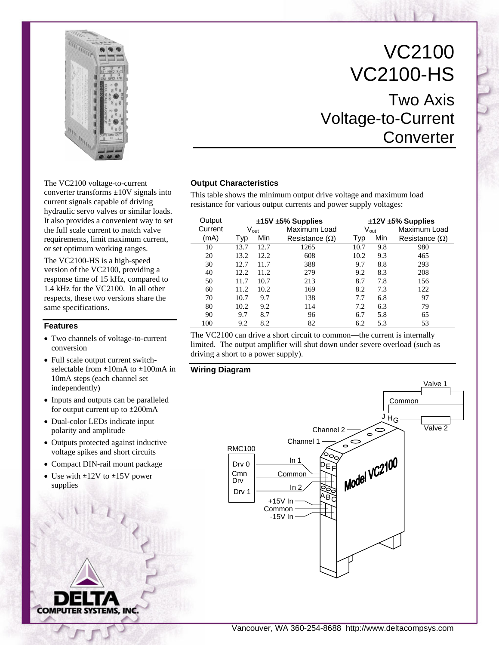

VC2100 VC2100-HS Two Axis Voltage-to-Current **Converter** 

> Maximum Load Resistance (Ω)

The VC2100 voltage-to-current converter transforms ±10V signals into current signals capable of driving hydraulic servo valves or similar loads. It also provides a convenient way to set the full scale current to match valve requirements, limit maximum current, or set optimum working ranges.

The VC2100-HS is a high-speed version of the VC2100, providing a response time of 15 kHz, compared to 1.4 kHz for the VC2100. In all other respects, these two versions share the same specifications.

#### **Features**

- Two channels of voltage-to-current conversion
- Full scale output current switchselectable from ±10mA to ±100mA in 10mA steps (each channel set independently)
- Inputs and outputs can be paralleled for output current up to ±200mA
- Dual-color LEDs indicate input polarity and amplitude
- Outputs protected against inductive voltage spikes and short circuits
- Compact DIN-rail mount package
- Use with  $\pm$ 12V to  $\pm$ 15V power supplies



**Output Characteristics**

(mA) Typ Min

The VC2100 can drive a short circuit to common—the current is internally limited. The output amplifier will shut down under severe overload (such as driving a short to a power supply).

This table shows the minimum output drive voltage and maximum load resistance for various output currents and power supply voltages:

Current V<sub>out</sub> Maximum Load V<sub>out</sub>

Output **±15V ±5% Supplies ±12V ±5% Supplies**<br>Current V<sub>out</sub> Maximum Load V<sub>out</sub> Maximum L

10 13.7 12.7 1265 10.7 9.8 980

Resistance  $(Ω)$  Typ Min

**Wiring Diagram** 



Vancouver, WA 360-254-8688 http://www.deltacompsys.com